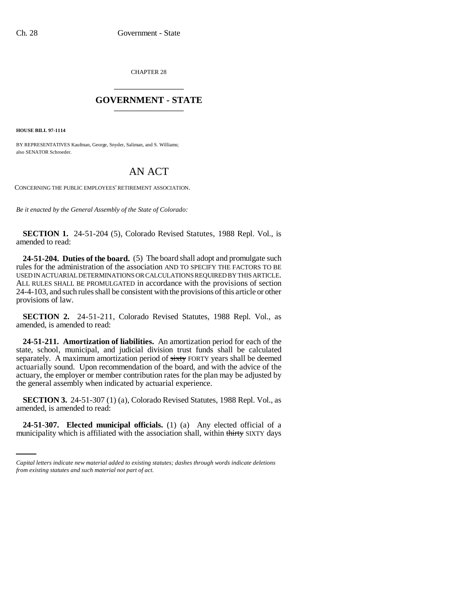CHAPTER 28 \_\_\_\_\_\_\_\_\_\_\_\_\_\_\_

## **GOVERNMENT - STATE** \_\_\_\_\_\_\_\_\_\_\_\_\_\_\_

**HOUSE BILL 97-1114**

BY REPRESENTATIVES Kaufman, George, Snyder, Saliman, and S. Williams; also SENATOR Schroeder.

## AN ACT

CONCERNING THE PUBLIC EMPLOYEES' RETIREMENT ASSOCIATION.

*Be it enacted by the General Assembly of the State of Colorado:*

**SECTION 1.** 24-51-204 (5), Colorado Revised Statutes, 1988 Repl. Vol., is amended to read:

**24-51-204. Duties of the board.** (5) The board shall adopt and promulgate such rules for the administration of the association AND TO SPECIFY THE FACTORS TO BE USED IN ACTUARIAL DETERMINATIONS OR CALCULATIONS REQUIRED BY THIS ARTICLE. ALL RULES SHALL BE PROMULGATED in accordance with the provisions of section 24-4-103, and such rules shall be consistent with the provisions of this article or other provisions of law.

**SECTION 2.** 24-51-211, Colorado Revised Statutes, 1988 Repl. Vol., as amended, is amended to read:

**24-51-211. Amortization of liabilities.** An amortization period for each of the state, school, municipal, and judicial division trust funds shall be calculated separately. A maximum amortization period of sixty FORTY years shall be deemed actuarially sound. Upon recommendation of the board, and with the advice of the actuary, the employer or member contribution rates for the plan may be adjusted by the general assembly when indicated by actuarial experience.

amended, is amended to read: **SECTION 3.** 24-51-307 (1) (a), Colorado Revised Statutes, 1988 Repl. Vol., as

**24-51-307. Elected municipal officials.** (1) (a) Any elected official of a municipality which is affiliated with the association shall, within thirty SIXTY days

*Capital letters indicate new material added to existing statutes; dashes through words indicate deletions from existing statutes and such material not part of act.*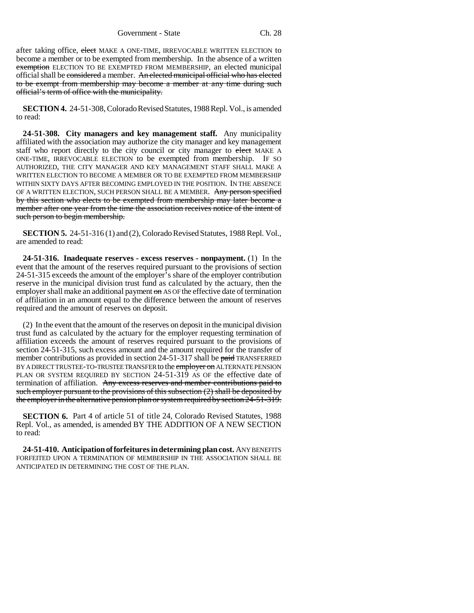Government - State Ch. 28

after taking office, elect MAKE A ONE-TIME, IRREVOCABLE WRITTEN ELECTION to become a member or to be exempted from membership. In the absence of a written exemption ELECTION TO BE EXEMPTED FROM MEMBERSHIP, an elected municipal official shall be considered a member. An elected municipal official who has elected to be exempt from membership may become a member at any time during such official's term of office with the municipality.

**SECTION 4.** 24-51-308, Colorado Revised Statutes, 1988 Repl. Vol., is amended to read:

**24-51-308. City managers and key management staff.** Any municipality affiliated with the association may authorize the city manager and key management staff who report directly to the city council or city manager to elect MAKE A ONE-TIME, IRREVOCABLE ELECTION to be exempted from membership. IF SO AUTHORIZED, THE CITY MANAGER AND KEY MANAGEMENT STAFF SHALL MAKE A WRITTEN ELECTION TO BECOME A MEMBER OR TO BE EXEMPTED FROM MEMBERSHIP WITHIN SIXTY DAYS AFTER BECOMING EMPLOYED IN THE POSITION. IN THE ABSENCE OF A WRITTEN ELECTION, SUCH PERSON SHALL BE A MEMBER. Any person specified by this section who elects to be exempted from membership may later become a member after one year from the time the association receives notice of the intent of such person to begin membership.

**SECTION 5.** 24-51-316 (1) and (2), Colorado Revised Statutes, 1988 Repl. Vol., are amended to read:

**24-51-316. Inadequate reserves - excess reserves - nonpayment.** (1)In the event that the amount of the reserves required pursuant to the provisions of section 24-51-315 exceeds the amount of the employer's share of the employer contribution reserve in the municipal division trust fund as calculated by the actuary, then the employer shall make an additional payment on AS OF the effective date of termination of affiliation in an amount equal to the difference between the amount of reserves required and the amount of reserves on deposit.

(2) In the event that the amount of the reserves on deposit in the municipal division trust fund as calculated by the actuary for the employer requesting termination of affiliation exceeds the amount of reserves required pursuant to the provisions of section 24-51-315, such excess amount and the amount required for the transfer of member contributions as provided in section 24-51-317 shall be paid TRANSFERRED BY A DIRECT TRUSTEE-TO-TRUSTEE TRANSFER to the employer on ALTERNATE PENSION PLAN OR SYSTEM REQUIRED BY SECTION 24-51-319 AS OF the effective date of termination of affiliation. Any excess reserves and member contributions paid to such employer pursuant to the provisions of this subsection (2) shall be deposited by the employer in the alternative pension plan or system required by section 24-51-319.

**SECTION 6.** Part 4 of article 51 of title 24, Colorado Revised Statutes, 1988 Repl. Vol., as amended, is amended BY THE ADDITION OF A NEW SECTION to read:

**24-51-410. Anticipation of forfeitures in determining plan cost.** ANY BENEFITS FORFEITED UPON A TERMINATION OF MEMBERSHIP IN THE ASSOCIATION SHALL BE ANTICIPATED IN DETERMINING THE COST OF THE PLAN.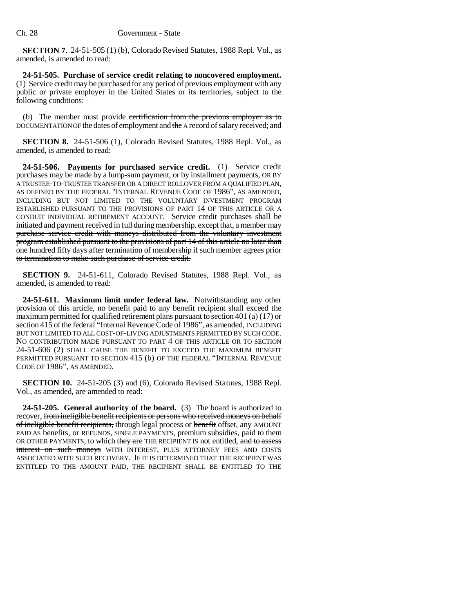**SECTION 7.** 24-51-505 (1) (b), Colorado Revised Statutes, 1988 Repl. Vol., as amended, is amended to read:

**24-51-505. Purchase of service credit relating to noncovered employment.** (1) Service credit may be purchased for any period of previous employment with any public or private employer in the United States or its territories, subject to the following conditions:

(b) The member must provide certification from the previous employer as to DOCUMENTATION OF the dates of employment and the A record of salary received; and

**SECTION 8.** 24-51-506 (1), Colorado Revised Statutes, 1988 Repl. Vol., as amended, is amended to read:

**24-51-506. Payments for purchased service credit.** (1) Service credit purchases may be made by a lump-sum payment, or by installment payments, OR BY A TRUSTEE-TO-TRUSTEE TRANSFER OR A DIRECT ROLLOVER FROM A QUALIFIED PLAN, AS DEFINED BY THE FEDERAL "INTERNAL REVENUE CODE OF 1986", AS AMENDED, INCLUDING BUT NOT LIMITED TO THE VOLUNTARY INVESTMENT PROGRAM ESTABLISHED PURSUANT TO THE PROVISIONS OF PART 14 OF THIS ARTICLE OR A CONDUIT INDIVIDUAL RETIREMENT ACCOUNT. Service credit purchases shall be initiated and payment received in full during membership. except that, a member may purchase service credit with moneys distributed from the voluntary investment program established pursuant to the provisions of part 14 of this article no later than one hundred fifty days after termination of membership if such member agrees prior to termination to make such purchase of service credit.

**SECTION 9.** 24-51-611, Colorado Revised Statutes, 1988 Repl. Vol., as amended, is amended to read:

**24-51-611. Maximum limit under federal law.** Notwithstanding any other provision of this article, no benefit paid to any benefit recipient shall exceed the maximum permitted for qualified retirement plans pursuant to section 401 (a) (17) or section 415 of the federal "Internal Revenue Code of 1986", as amended, INCLUDING BUT NOT LIMITED TO ALL COST-OF-LIVING ADJUSTMENTS PERMITTED BY SUCH CODE. NO CONTRIBUTION MADE PURSUANT TO PART 4 OF THIS ARTICLE OR TO SECTION 24-51-606 (2) SHALL CAUSE THE BENEFIT TO EXCEED THE MAXIMUM BENEFIT PERMITTED PURSUANT TO SECTION 415 (b) OF THE FEDERAL "INTERNAL REVENUE CODE OF 1986", AS AMENDED.

**SECTION 10.** 24-51-205 (3) and (6), Colorado Revised Statutes, 1988 Repl. Vol., as amended, are amended to read:

**24-51-205. General authority of the board.** (3) The board is authorized to recover, from ineligible benefit recipients or persons who received moneys on behalf of ineligible benefit recipients, through legal process or benefit offset, any AMOUNT PAID AS benefits, or REFUNDS, SINGLE PAYMENTS, premium subsidies, paid to them OR OTHER PAYMENTS, to which they are THE RECIPIENT IS not entitled, and to assess interest on such moneys WITH INTEREST, PLUS ATTORNEY FEES AND COSTS ASSOCIATED WITH SUCH RECOVERY. IF IT IS DETERMINED THAT THE RECIPIENT WAS ENTITLED TO THE AMOUNT PAID, THE RECIPIENT SHALL BE ENTITLED TO THE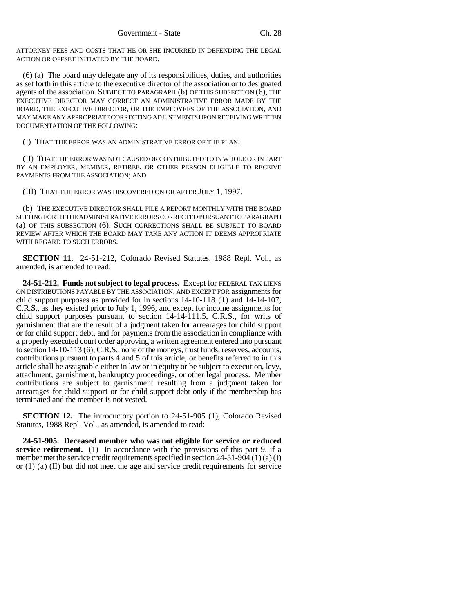ATTORNEY FEES AND COSTS THAT HE OR SHE INCURRED IN DEFENDING THE LEGAL ACTION OR OFFSET INITIATED BY THE BOARD.

(6) (a) The board may delegate any of its responsibilities, duties, and authorities as set forth in this article to the executive director of the association or to designated agents of the association. SUBJECT TO PARAGRAPH (b) OF THIS SUBSECTION (6), THE EXECUTIVE DIRECTOR MAY CORRECT AN ADMINISTRATIVE ERROR MADE BY THE BOARD, THE EXECUTIVE DIRECTOR, OR THE EMPLOYEES OF THE ASSOCIATION, AND MAY MAKE ANY APPROPRIATE CORRECTING ADJUSTMENTS UPON RECEIVING WRITTEN DOCUMENTATION OF THE FOLLOWING:

(I) THAT THE ERROR WAS AN ADMINISTRATIVE ERROR OF THE PLAN;

(II) THAT THE ERROR WAS NOT CAUSED OR CONTRIBUTED TO IN WHOLE OR IN PART BY AN EMPLOYER, MEMBER, RETIREE, OR OTHER PERSON ELIGIBLE TO RECEIVE PAYMENTS FROM THE ASSOCIATION; AND

(III) THAT THE ERROR WAS DISCOVERED ON OR AFTER JULY 1, 1997.

(b) THE EXECUTIVE DIRECTOR SHALL FILE A REPORT MONTHLY WITH THE BOARD SETTING FORTH THE ADMINISTRATIVE ERRORS CORRECTED PURSUANT TO PARAGRAPH (a) OF THIS SUBSECTION (6). SUCH CORRECTIONS SHALL BE SUBJECT TO BOARD REVIEW AFTER WHICH THE BOARD MAY TAKE ANY ACTION IT DEEMS APPROPRIATE WITH REGARD TO SUCH ERRORS.

**SECTION 11.** 24-51-212, Colorado Revised Statutes, 1988 Repl. Vol., as amended, is amended to read:

**24-51-212. Funds not subject to legal process.** Except for FEDERAL TAX LIENS ON DISTRIBUTIONS PAYABLE BY THE ASSOCIATION, AND EXCEPT FOR assignments for child support purposes as provided for in sections  $14-10-118$  (1) and  $14-14-107$ , C.R.S., as they existed prior to July 1, 1996, and except for income assignments for child support purposes pursuant to section 14-14-111.5, C.R.S., for writs of garnishment that are the result of a judgment taken for arrearages for child support or for child support debt, and for payments from the association in compliance with a properly executed court order approving a written agreement entered into pursuant to section 14-10-113 (6), C.R.S., none of the moneys, trust funds, reserves, accounts, contributions pursuant to parts 4 and 5 of this article, or benefits referred to in this article shall be assignable either in law or in equity or be subject to execution, levy, attachment, garnishment, bankruptcy proceedings, or other legal process. Member contributions are subject to garnishment resulting from a judgment taken for arrearages for child support or for child support debt only if the membership has terminated and the member is not vested.

**SECTION 12.** The introductory portion to 24-51-905 (1), Colorado Revised Statutes, 1988 Repl. Vol., as amended, is amended to read:

**24-51-905. Deceased member who was not eligible for service or reduced service retirement.** (1) In accordance with the provisions of this part 9, if a member met the service credit requirements specified in section 24-51-904 (1) (a) (I) or  $(1)$  (a)  $(II)$  but did not meet the age and service credit requirements for service